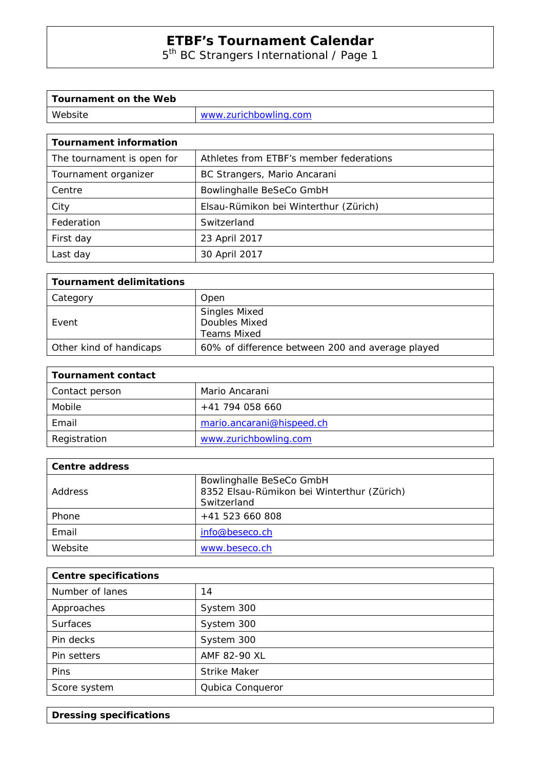# **ETBF's Tournament Calendar**

5<sup>th</sup> BC Strangers International / Page 1

| Tournament on the Web |                       |
|-----------------------|-----------------------|
| Website               | www.zurichbowling.com |

| <b>Tournament information</b> |                                         |  |
|-------------------------------|-----------------------------------------|--|
| The tournament is open for    | Athletes from ETBF's member federations |  |
| Tournament organizer          | BC Strangers, Mario Ancarani            |  |
| Centre                        | Bowlinghalle BeSeCo GmbH                |  |
| City                          | Elsau-Rümikon bei Winterthur (Zürich)   |  |
| Federation                    | Switzerland                             |  |
| First day                     | 23 April 2017                           |  |
| Last day                      | 30 April 2017                           |  |

| <b>Tournament delimitations</b> |                                                             |
|---------------------------------|-------------------------------------------------------------|
| Category                        | Open                                                        |
| Event                           | <b>Singles Mixed</b><br>Doubles Mixed<br><b>Teams Mixed</b> |
| Other kind of handicaps         | 60% of difference between 200 and average played            |

| Tournament contact |                           |
|--------------------|---------------------------|
| Contact person     | Mario Ancarani            |
| Mobile             | +41 794 058 660           |
| Email              | mario.ancarani@hispeed.ch |
| Registration       | www.zurichbowling.com     |

| <b>Centre address</b> |                                                                                       |
|-----------------------|---------------------------------------------------------------------------------------|
| Address               | Bowlinghalle BeSeCo GmbH<br>8352 Elsau-Rümikon bei Winterthur (Zürich)<br>Switzerland |
| Phone                 | $+41$ 523 660 808                                                                     |
| Email                 | info@beseco.ch                                                                        |
| Website               | www.beseco.ch                                                                         |

| <b>Centre specifications</b> |                     |
|------------------------------|---------------------|
| Number of lanes              | 14                  |
| Approaches                   | System 300          |
| <b>Surfaces</b>              | System 300          |
| Pin decks                    | System 300          |
| Pin setters                  | AMF 82-90 XL        |
| Pins                         | <b>Strike Maker</b> |
| Score system                 | Qubica Conqueror    |

**Dressing specifications**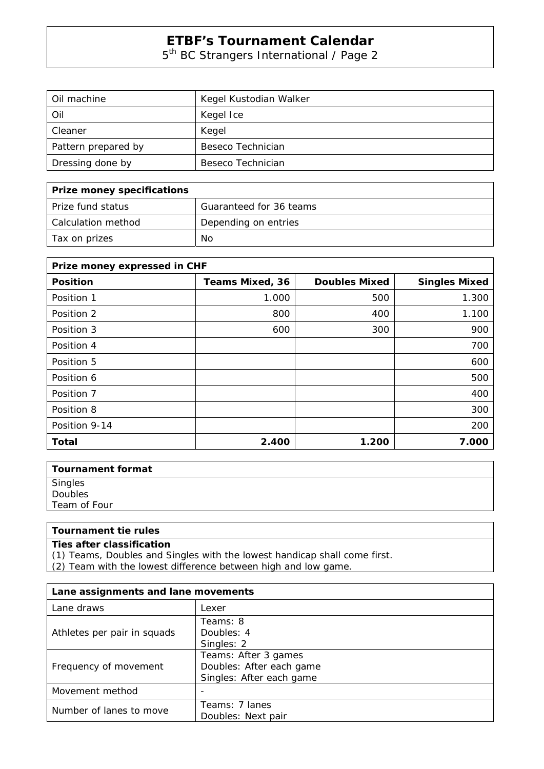### **ETBF's Tournament Calendar**

5<sup>th</sup> BC Strangers International / Page 2

| Oil machine         | Kegel Kustodian Walker |
|---------------------|------------------------|
| Oil                 | Kegel Ice              |
| Cleaner             | Kegel                  |
| Pattern prepared by | Beseco Technician      |
| Dressing done by    | Beseco Technician      |

| Prize money specifications |                         |
|----------------------------|-------------------------|
| l Prize fund status        | Guaranteed for 36 teams |
| l Calculation method       | Depending on entries    |
| Tax on prizes              | No.                     |

| Prize money expressed in CHF |                        |                      |                      |
|------------------------------|------------------------|----------------------|----------------------|
| <b>Position</b>              | <b>Teams Mixed, 36</b> | <b>Doubles Mixed</b> | <b>Singles Mixed</b> |
| Position 1                   | 1.000                  | 500                  | 1.300                |
| Position 2                   | 800                    | 400                  | 1.100                |
| Position 3                   | 600                    | 300                  | 900                  |
| Position 4                   |                        |                      | 700                  |
| Position 5                   |                        |                      | 600                  |
| Position 6                   |                        |                      | 500                  |
| Position 7                   |                        |                      | 400                  |
| Position 8                   |                        |                      | 300                  |
| Position 9-14                |                        |                      | 200                  |
| Total                        | 2.400                  | 1.200                | 7.000                |

| <b>Tournament format</b> |  |
|--------------------------|--|
| Singles<br>Doubles       |  |
|                          |  |
| Team of Four             |  |
|                          |  |

### **Tournament tie rules**

### **Ties after classification**

(1) Teams, Doubles and Singles with the lowest handicap shall come first.

(2) Team with the lowest difference between high and low game.

| Lane assignments and lane movements |                          |
|-------------------------------------|--------------------------|
| Lane draws                          | Lexer                    |
|                                     | Teams: 8                 |
| Athletes per pair in squads         | Doubles: 4               |
|                                     | Singles: 2               |
| Frequency of movement               | Teams: After 3 games     |
|                                     | Doubles: After each game |
|                                     | Singles: After each game |
| Movement method                     |                          |
| Number of lanes to move             | Teams: 7 lanes           |
|                                     | Doubles: Next pair       |